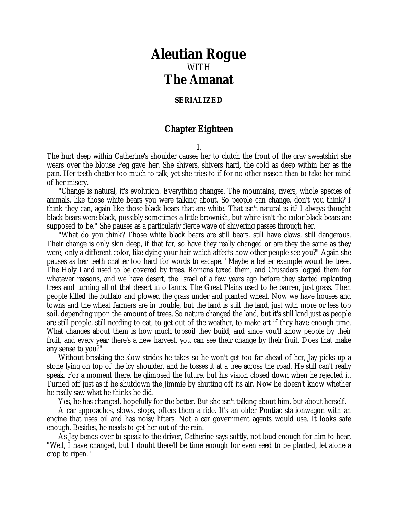## *Aleutian Rogue* WITH *The Amanat*

## **SERIALIZED**

## **Chapter Eighteen**

1.

The hurt deep within Catherine's shoulder causes her to clutch the front of the gray sweatshirt she wears over the blouse Peg gave her. She shivers, shivers hard, the cold as deep within her as the pain. Her teeth chatter too much to talk; yet she tries to if for no other reason than to take her mind of her misery.

"Change is natural, it's evolution. Everything changes. The mountains, rivers, whole species of animals, like those white bears you were talking about. So people can change, don't you think? I think they can, again like those black bears that are white. That isn't natural is it? I always thought black bears were black, possibly sometimes a little brownish, but white isn't the color black bears are supposed to be." She pauses as a particularly fierce wave of shivering passes through her.

"What do you think? Those white black bears are still bears, still have claws, still dangerous. Their change is only skin deep, if that far, so have they really changed or are they the same as they were, only a different color, like dying your hair which affects how other people see you?" Again she pauses as her teeth chatter too hard for words to escape. "Maybe a better example would be trees. The Holy Land used to be covered by trees. Romans taxed them, and Crusaders logged them for whatever reasons, and we have desert, the Israel of a few years ago before they started replanting trees and turning all of that desert into farms. The Great Plains used to be barren, just grass. Then people killed the buffalo and plowed the grass under and planted wheat. Now we have houses and towns and the wheat farmers are in trouble, but the land is still the land, just with more or less top soil, depending upon the amount of trees. So nature changed the land, but it's still land just as people are still people, still needing to eat, to get out of the weather, to make art if they have enough time. What changes about them is how much topsoil they build, and since you'll know people by their fruit, and every year there's a new harvest, you can see their change by their fruit. Does that make any sense to you?"

Without breaking the slow strides he takes so he won't get too far ahead of her, Jay picks up a stone lying on top of the icy shoulder, and he tosses it at a tree across the road. He still can't really speak. For a moment there, he glimpsed the future, but his vision closed down when he rejected it. Turned off just as if he shutdown the Jimmie by shutting off its air. Now he doesn't know whether he really saw what he thinks he did.

Yes, he has changed, hopefully for the better. But she isn't talking about him, but about herself.

A car approaches, slows, stops, offers them a ride. It's an older Pontiac stationwagon with an engine that uses oil and has noisy lifters. Not a car government agents would use. It looks safe enough. Besides, he needs to get her out of the rain.

As Jay bends over to speak to the driver, Catherine says softly, not loud enough for him to hear, "Well, I have changed, but I doubt there'll be time enough for even seed to be planted, let alone a crop to ripen."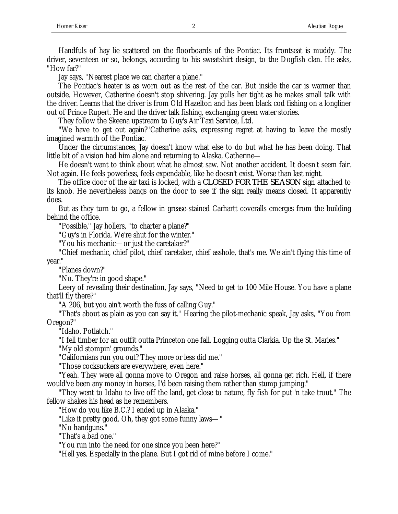Handfuls of hay lie scattered on the floorboards of the Pontiac. Its frontseat is muddy. The driver, seventeen or so, belongs, according to his sweatshirt design, to the Dogfish clan. He asks, "How far?"

Jay says, "Nearest place we can charter a plane."

The Pontiac's heater is as worn out as the rest of the car. But inside the car is warmer than outside. However, Catherine doesn't stop shivering. Jay pulls her tight as he makes small talk with the driver. Learns that the driver is from Old Hazelton and has been black cod fishing on a longliner out of Prince Rupert. He and the driver talk fishing, exchanging green water stories.

They follow the Skeena upstream to Guy's Air Taxi Service, Ltd.

"We have to get out again?"Catherine asks, expressing regret at having to leave the mostly imagined warmth of the Pontiac.

Under the circumstances, Jay doesn't know what else to do but what he has been doing. That little bit of a vision had him alone and returning to Alaska, Catherine—

He doesn't want to think about what he almost saw. Not another accident. It doesn't seem fair. Not again. He feels powerless, feels expendable, like he doesn't exist. Worse than last night.

The office door of the air taxi is locked, with a *CLOSED FOR THE SEASON* sign attached to its knob. He nevertheless bangs on the door to see if the sign really means closed. It apparently does.

But as they turn to go, a fellow in grease-stained Carhartt coveralls emerges from the building behind the office.

"Possible," Jay hollers, "to charter a plane?"

"Guy's in Florida. We're shut for the winter."

"You his mechanic—or just the caretaker?"

"Chief mechanic, chief pilot, chief caretaker, chief asshole, that's me. We ain't flying this time of year."

"Planes down?"

"No. They're in good shape."

Leery of revealing their destination, Jay says, "Need to get to 100 Mile House. You have a plane that'll fly there?"

"A 206, but you ain't worth the fuss of calling Guy."

"That's about as plain as you can say it." Hearing the pilot-mechanic speak, Jay asks, "You from Oregon?"

"Idaho. Potlatch."

"I fell timber for an outfit outta Princeton one fall. Logging outta Clarkia. Up the St. Maries."

"My old stompin' grounds."

"Californians run you out? They more or less did me."

"Those cocksuckers are everywhere, even here."

"Yeah. They were all gonna move to Oregon and raise horses, all gonna get rich. Hell, if there would've been any money in horses, I'd been raising them rather than stump jumping."

"They went to Idaho to live off the land, get close to nature, fly fish for put 'n take trout." The fellow shakes his head as he remembers.

"How do you like B.C.? I ended up in Alaska."

"Like it pretty good. Oh, they got some funny laws—"

"No handguns."

"That's a bad one."

"You run into the need for one since you been here?"

"Hell yes. Especially in the plane. But I got rid of mine before I come."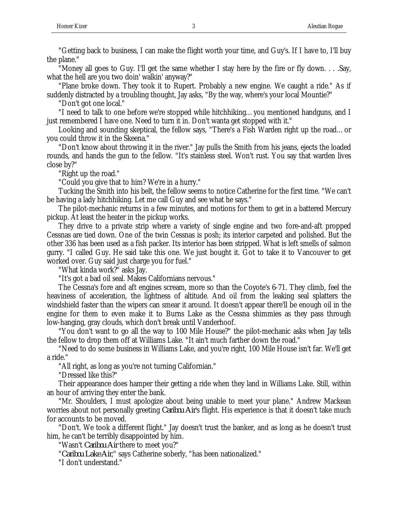"Getting back to business, I can make the flight worth your time, and Guy's. If I have to, I'll buy the plane."

"Money all goes to Guy. I'll get the same whether I stay here by the fire or fly down. . . .Say, what the hell are you two doin' walkin' anyway?"

"Plane broke down. They took it to Rupert. Probably a new engine. We caught a ride." As if suddenly distracted by a troubling thought, Jay asks, "By the way, where's your local Mountie?"

"Don't got one local."

"I need to talk to one before we're stopped while hitchhiking…you mentioned handguns, and I just remembered I have one. Need to turn it in. Don't wanta get stopped with it."

Looking and sounding skeptical, the fellow says, "There's a Fish Warden right up the road…or you could throw it in the Skeena."

"Don't know about throwing it in the river." Jay pulls the Smith from his jeans, ejects the loaded rounds, and hands the gun to the fellow. "It's stainless steel. Won't rust. You say that warden lives close by?"

"Right up the road."

"Could you give that to him? We're in a hurry."

Tucking the Smith into his belt, the fellow seems to notice Catherine for the first time. "We can't be having a lady hitchhiking. Let me call Guy and see what he says."

The pilot-mechanic returns in a few minutes, and motions for them to get in a battered Mercury pickup. At least the heater in the pickup works.

They drive to a private strip where a variety of single engine and two fore-and-aft propped Cessnas are tied down. One of the twin Cessnas is posh; its interior carpeted and polished. But the other 336 has been used as a fish packer. Its interior has been stripped. What is left smells of salmon gurry. "I called Guy. He said take this one. We just bought it. Got to take it to Vancouver to get worked over. Guy said just charge you for fuel."

"What kinda work?" asks Jay.

"It's got a bad oil seal. Makes Californians nervous."

The Cessna's fore and aft engines scream, more so than the Coyote's 6-71. They climb, feel the heaviness of acceleration, the lightness of altitude. And oil from the leaking seal splatters the windshield faster than the wipers can smear it around. It doesn't appear there'll be enough oil in the engine for them to even make it to Burns Lake as the Cessna shimmies as they pass through low-hanging, gray clouds, which don't break until Vanderhoof.

"You don't want to go all the way to 100 Mile House?" the pilot-mechanic asks when Jay tells the fellow to drop them off at Williams Lake. "It ain't much farther down the road."

"Need to do some business in Williams Lake, and you're right, 100 Mile House isn't far. We'll get a ride."

"All right, as long as you're not turning Californian."

"Dressed like this?"

Their appearance does hamper their getting a ride when they land in Williams Lake. Still, within an hour of arriving they enter the bank.

"Mr. Shoulders, I must apologize about being unable to meet your plane." Andrew Mackean worries about not personally greeting *Caribou Air*'s flight. His experience is that it doesn't take much for accounts to be moved.

"Don't. We took a different flight." Jay doesn't trust the banker, and as long as he doesn't trust him, he can't be terribly disappointed by him.

"Wasn't *Caribou Air* there to meet you?"

"*Caribou Lake Air*," says Catherine soberly, "has been nationalized."

"I don't understand."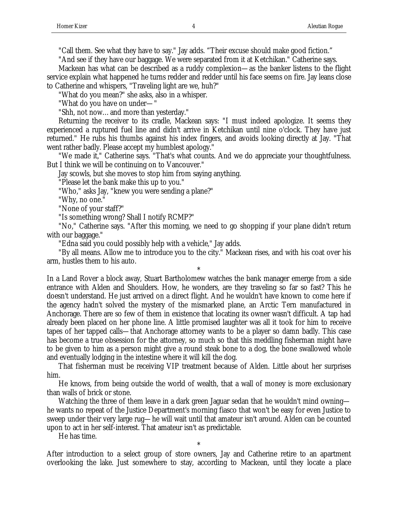"Call them. See what they have to say." Jay adds. "Their excuse should make good fiction."

"And see if they have our baggage. We were separated from it at Ketchikan." Catherine says.

Mackean has what can be described as a ruddy complexion—as the banker listens to the flight service explain what happened he turns redder and redder until his face seems on fire. Jay leans close to Catherine and whispers, "Traveling light are we, huh?"

"What do you mean?" she asks, also in a whisper.

"What do you have on under—"

"Shh, not now…and more than yesterday."

Returning the receiver to its cradle, Mackean says: "I must indeed apologize. It seems they experienced a ruptured fuel line and didn't arrive in Ketchikan until nine o'clock. They have just returned." He rubs his thumbs against his index fingers, and avoids looking directly at Jay. "That went rather badly. Please accept my humblest apology."

"We made it," Catherine says. "That's what counts. And we do appreciate your thoughtfulness. But I think we will be continuing on to Vancouver."

Jay scowls, but she moves to stop him from saying anything.

"Please let the bank make this up to you."

"Who," asks Jay, "knew you were sending a plane?"

"Why, no one."

"None of your staff?"

"Is something wrong? Shall I notify RCMP?"

"No," Catherine says. "After this morning, we need to go shopping if your plane didn't return with our baggage."

"Edna said you could possibly help with a vehicle," Jay adds.

"By all means. Allow me to introduce you to the city." Mackean rises, and with his coat over his arm, hustles them to his auto.

\*

In a Land Rover a block away, Stuart Bartholomew watches the bank manager emerge from a side entrance with Alden and Shoulders. How, he wonders, are they traveling so far so fast? This he doesn't understand. He just arrived on a direct flight. And he wouldn't have known to come here if the agency hadn't solved the mystery of the mismarked plane, an Arctic Tern manufactured in Anchorage. There are so few of them in existence that locating its owner wasn't difficult. A tap had already been placed on her phone line. A little promised laughter was all it took for him to receive tapes of her tapped calls—that Anchorage attorney wants to be a player so damn badly. This case has become a true obsession for the attorney, so much so that this meddling fisherman might have to be given to him as a person might give a round steak bone to a dog, the bone swallowed whole and eventually lodging in the intestine where it will kill the dog.

That fisherman must be receiving VIP treatment because of Alden. Little about her surprises him.

He knows, from being outside the world of wealth, that a wall of money is more exclusionary than walls of brick or stone.

Watching the three of them leave in a dark green Jaguar sedan that he wouldn't mind owning he wants no repeat of the Justice Department's morning fiasco that won't be easy for even Justice to sweep under their very large rug—he will wait until that amateur isn't around. Alden can be counted upon to act in her self-interest. That amateur isn't as predictable.

He has time.

\* After introduction to a select group of store owners, Jay and Catherine retire to an apartment overlooking the lake. Just somewhere to stay, according to Mackean, until they locate a place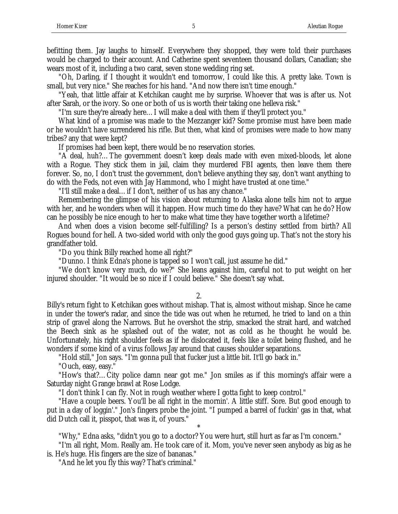befitting them. Jay laughs to himself. Everywhere they shopped, they were told their purchases would be charged to their account. And Catherine spent seventeen thousand dollars, Canadian; she wears most of it, including a two carat, seven stone wedding ring set.

"Oh, Darling, if I thought it wouldn't end tomorrow, I could like this. A pretty lake. Town is small, but very nice." She reaches for his hand. "And now there isn't time enough."

"Yeah, that little affair at Ketchikan caught me by surprise. Whoever that was is after us. Not after Sarah, or the ivory. So one or both of us is worth their taking one helleva risk."

"I'm sure they're already here…I will make a deal with them if they'll protect you."

What kind of a promise was made to the Mezzanger kid? Some promise must have been made or he wouldn't have surrendered his rifle. But then, what kind of promises were made to how many tribes? any that were kept?

If promises had been kept, there would be no reservation stories.

"A deal, huh?…The government doesn't keep deals made with even mixed-bloods, let alone with a Rogue. They stick them in jail, claim they murdered FBI agents, then leave them there forever. So, no, I don't trust the government, don't believe anything they say, don't want anything to do with the Feds, not even with Jay Hammond, who I might have trusted at one time."

"I'll still make a deal…if I don't, neither of us has any chance."

Remembering the glimpse of his vision about returning to Alaska alone tells him not to argue with her, and he wonders when will it happen. How much time do they have? What can he do? How can he possibly be nice enough to her to make what time they have together worth a lifetime?

And when does a vision become self-fulfilling? Is a person's destiny settled from birth? All Rogues bound for hell. A two-sided world with only the good guys going up. That's not the story his grandfather told.

"Do you think Billy reached home all right?"

"Dunno. I think Edna's phone is tapped so I won't call, just assume he did."

"We don't know very much, do we?" She leans against him, careful not to put weight on her injured shoulder. "It would be so nice if I could believe." She doesn't say what.

2.

Billy's return fight to Ketchikan goes without mishap. That is, almost without mishap. Since he came in under the tower's radar, and since the tide was out when he returned, he tried to land on a thin strip of gravel along the Narrows. But he overshot the strip, smacked the strait hard, and watched the Beech sink as he splashed out of the water, not as cold as he thought he would be. Unfortunately, his right shoulder feels as if he dislocated it, feels like a toilet being flushed, and he wonders if some kind of a virus follows Jay around that causes shoulder separations.

"Hold still," Jon says. "I'm gonna pull that fucker just a little bit. It'll go back in."

"Ouch, easy, easy."

"How's that?…City police damn near got me." Jon smiles as if this morning's affair were a Saturday night Grange brawl at Rose Lodge.

"I don't think I can fly. Not in rough weather where I gotta fight to keep control."

"Have a couple beers. You'll be all right in the mornin'. A little stiff. Sore. But good enough to put in a day of loggin'." Jon's fingers probe the joint. "I pumped a barrel of fuckin' gas in that, what did Dutch call it, pisspot, that was it, of yours."

\* "Why," Edna asks, "didn't you go to a doctor? You were hurt, still hurt as far as I'm concern."

"I'm all right, Mom. Really am. He took care of it. Mom, you've never seen anybody as big as he is. He's huge. His fingers are the size of bananas."

"And he let you fly this way? That's criminal."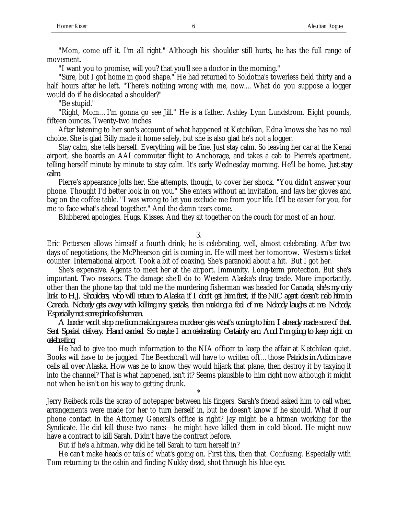"Mom, come off it. I'm all right." Although his shoulder still hurts, he has the full range of movement.

"I want you to promise, will you? that you'll see a doctor in the morning."

"Sure, but I got home in good shape." He had returned to Soldotna's towerless field thirty and a half hours after he left. "There's nothing wrong with me, now....What do you suppose a logger would do if he dislocated a shoulder?"

"Be stupid."

"Right, Mom…I'm gonna go see Jill." He is a father. Ashley Lynn Lundstrom. Eight pounds, fifteen ounces. Twenty-two inches.

After listening to her son's account of what happened at Ketchikan, Edna knows she has no real choice. She is glad Billy made it home safely, but she is also glad he's not a logger.

Stay calm, she tells herself. Everything will be fine. Just stay calm. So leaving her car at the Kenai airport, she boards an AAI commuter flight to Anchorage, and takes a cab to Pierre's apartment, telling herself minute by minute to stay calm. It's early Wednesday morning. He'll be home. *Just stay calm*.

Pierre's appearance jolts her. She attempts, though, to cover her shock. "You didn't answer your phone. Thought I'd better look in on you." She enters without an invitation, and lays her gloves and bag on the coffee table. "I was wrong to let you exclude me from your life. It'll be easier for you, for me to face what's ahead together." And the damn tears come.

Blubbered apologies. Hugs. Kisses. And they sit together on the couch for most of an hour.

3.

Eric Pettersen allows himself a fourth drink; he is celebrating, well, almost celebrating. After two days of negotiations, the McPhearson girl is coming in. He will meet her tomorrow. Western's ticket counter. International airport. Took a bit of coaxing. She's paranoid about a hit. But I got her.

She's expensive. Agents to meet her at the airport. Immunity. Long-term protection. But she's important. Two reasons. The damage she'll do to Western Alaska's drug trade. More importantly, other than the phone tap that told me the murdering fisherman was headed for Canada, *she's my only link to H.J. Shoulders, who will return to Alaska if I don't get him first, if the NIC agent doesn't nab him in Canada. Nobody gets away with killing my specials, then making a fool of me. Nobody laughs at me. Nobody. Especially not some pinko fisherman.*

*A border won't stop me from making sure a murderer gets what's coming to him. I already made sure of that. Sent Special delivery. Hand carried. So maybe I am celebrating. Certainly am. And I'm going to keep right on celebrating.*

He had to give too much information to the NIA officer to keep the affair at Ketchikan quiet. Books will have to be juggled. The Beechcraft will have to written off...those *Patriots in Action* have cells all over Alaska. How was he to know they would hijack that plane, then destroy it by taxying it into the channel? That is what happened, isn't it? Seems plausible to him right now although it might not when he isn't on his way to getting drunk.

Jerry Reibeck rolls the scrap of notepaper between his fingers. Sarah's friend asked him to call when arrangements were made for her to turn herself in, but he doesn't know if he should. What if our phone contact in the Attorney General's office is right? Jay might be a hitman working for the Syndicate. He did kill those two narcs—he might have killed them in cold blood. He might now have a contract to kill Sarah. Didn't have the contract before.

\*

But if he's a hitman, why did he tell Sarah to turn herself in?

He can't make heads or tails of what's going on. First this, then that. Confusing. Especially with Tom returning to the cabin and finding Nukky dead, shot through his blue eye.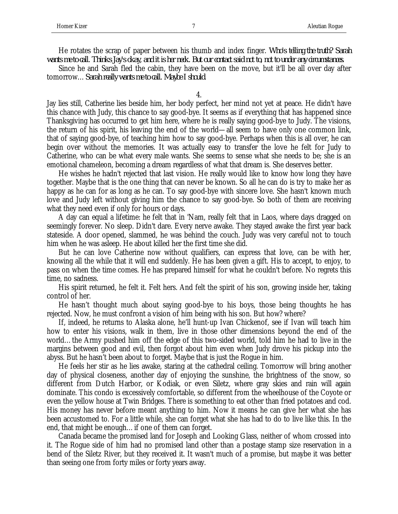He rotates the scrap of paper between his thumb and index finger. *Who's telling the truth? Sarah wants me to call. Thinks Jay's okay, and it is her neck. But our contact said not to, not to under any circumstances.*

Since he and Sarah fled the cabin, they have been on the move, but it'll be all over day after tomorrow…*Sarah really wants me to call. Maybe I should*.

4.

Jay lies still, Catherine lies beside him, her body perfect, her mind not yet at peace. He didn't have this chance with Judy, this chance to say good-bye. It seems as if everything that has happened since Thanksgiving has occurred to get him here, where he is really saying good-bye to Judy. The visions, the return of his spirit, his leaving the end of the world—all seem to have only one common link, that of saying good-bye, of teaching him how to say good-bye. Perhaps when this is all over, he can begin over without the memories. It was actually easy to transfer the love he felt for Judy to Catherine, who can be what every male wants. She seems to sense what she needs to be; she is an emotional chameleon, becoming a dream regardless of what that dream is. She deserves better.

He wishes he hadn't rejected that last vision. He really would like to know how long they have together. Maybe that is the one thing that can never be known. So all he can do is try to make her as happy as he can for as long as he can. To say good-bye with sincere love. She hasn't known much love and Judy left without giving him the chance to say good-bye. So both of them are receiving what they need even if only for hours or days.

A day can equal a lifetime: he felt that in 'Nam, really felt that in Laos, where days dragged on seemingly forever. No sleep. Didn't dare. Every nerve awake. They stayed awake the first year back stateside. A door opened, slammed, he was behind the couch. Judy was very careful not to touch him when he was asleep. He about killed her the first time she did.

But he can love Catherine now without qualifiers, can express that love, can be with her, knowing all the while that it will end suddenly. He has been given a gift. His to accept, to enjoy, to pass on when the time comes. He has prepared himself for what he couldn't before. No regrets this time, no sadness.

His spirit returned, he felt it. Felt hers. And felt the spirit of his son, growing inside her, taking control of her.

He hasn't thought much about saying good-bye to his boys, those being thoughts he has rejected. Now, he must confront a vision of him being with his son. But how? where?

If, indeed, he returns to Alaska alone, he'll hunt-up Ivan Chickenof, see if Ivan will teach him how to enter his visions, walk in them, live in those other dimensions beyond the end of the world…the Army pushed him off the edge of this two-sided world, told him he had to live in the margins between good and evil, then forgot about him even when Judy drove his pickup into the abyss. But he hasn't been about to forget. Maybe that is just the Rogue in him.

He feels her stir as he lies awake, staring at the cathedral ceiling. Tomorrow will bring another day of physical closeness, another day of enjoying the sunshine, the brightness of the snow, so different from Dutch Harbor, or Kodiak, or even Siletz, where gray skies and rain will again dominate. This condo is excessively comfortable, so different from the wheelhouse of the Coyote or even the yellow house at Twin Bridges. There is something to eat other than fried potatoes and cod. His money has never before meant anything to him. Now it means he can give her what she has been accustomed to. For a little while, she can forget what she has had to do to live like this. In the end, that might be enough…if one of them can forget.

Canada became the promised land for Joseph and Looking Glass, neither of whom crossed into it. The Rogue side of him had no promised land other than a postage stamp size reservation in a bend of the Siletz River, but they received it. It wasn't much of a promise, but maybe it was better than seeing one from forty miles or forty years away.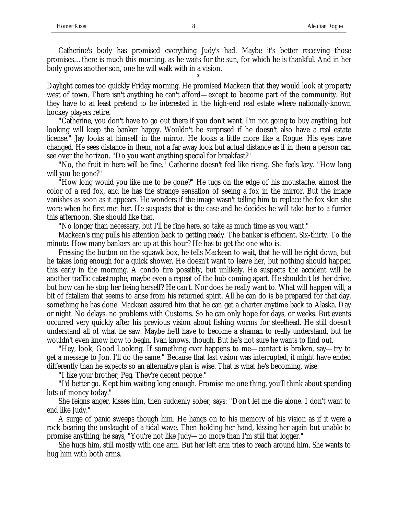Catherine's body has promised everything Judy's had. Maybe it's better receiving those promises…there is much this morning, as he waits for the sun, for which he is thankful. And in her body grows another son, one he will walk with in a vision.

\*

Daylight comes too quickly Friday morning. He promised Mackean that they would look at property west of town. There isn't anything he can't afford—except to become part of the community. But they have to at least pretend to be interested in the high-end real estate where nationally-known hockey players retire.

"Catherine, you don't have to go out there if you don't want. I'm not going to buy anything, but looking will keep the banker happy. Wouldn't be surprised if he doesn't also have a real estate license." Jay looks at himself in the mirror. He looks a little more like a Rogue. His eyes have changed. He sees distance in them, not a far away look but actual distance as if in them a person can see over the horizon. "Do you want anything special for breakfast?"

"No, the fruit in here will be fine." Catherine doesn't feel like rising. She feels lazy. "How long will you be gone?"

"How long would you like me to be gone?" He tugs on the edge of his moustache, almost the color of a red fox, and he has the strange sensation of seeing a fox in the mirror. But the image vanishes as soon as it appears. He wonders if the image wasn't telling him to replace the fox skin she wore when he first met her. He suspects that is the case and he decides he will take her to a furrier this afternoon. She should like that.

"No longer than necessary, but I'll be fine here, so take as much time as you want."

Mackean's ring pulls his attention back to getting ready. The banker is efficient. Six-thirty. To the minute. How many bankers are up at this hour? He has to get the one who is.

Pressing the button on the squawk box, he tells Mackean to wait, that he will be right down, but he takes long enough for a quick shower. He doesn't want to leave her, but nothing should happen this early in the morning. A condo fire possibly, but unlikely. He suspects the accident will be another traffic catastrophe, maybe even a repeat of the hub coming apart. He shouldn't let her drive, but how can he stop her being herself? He can't. Nor does he really want to. What will happen will, a bit of fatalism that seems to arise from his returned spirit. All he can do is be prepared for that day, something he has done. Mackean assured him that he can get a charter anytime back to Alaska. Day or night. No delays, no problems with Customs. So he can only hope for days, or weeks. But events occurred very quickly after his previous vision about fishing worms for steelhead. He still doesn't understand all of what he saw. Maybe he'll have to become a shaman to really understand, but he wouldn't even know how to begin. Ivan knows, though. But he's not sure he wants to find out.

"Hey, look, Good Looking. If something ever happens to me—contact is broken, say—try to get a message to Jon. I'll do the same." Because that last vision was interrupted, it might have ended differently than he expects so an alternative plan is wise. That is what he's becoming, wise.

"I like your brother, Peg. They're decent people."

"I'd better go. Kept him waiting long enough. Promise me one thing, you'll think about spending lots of money today."

She feigns anger, kisses him, then suddenly sober, says: "Don't let me die alone. I don't want to end like Judy."

A surge of panic sweeps though him. He hangs on to his memory of his vision as if it were a rock bearing the onslaught of a tidal wave. Then holding her hand, kissing her again but unable to promise anything, he says, "You're not like Judy—no more than I'm still that logger."

She hugs him, still mostly with one arm. But her left arm tries to reach around him. She wants to hug him with both arms.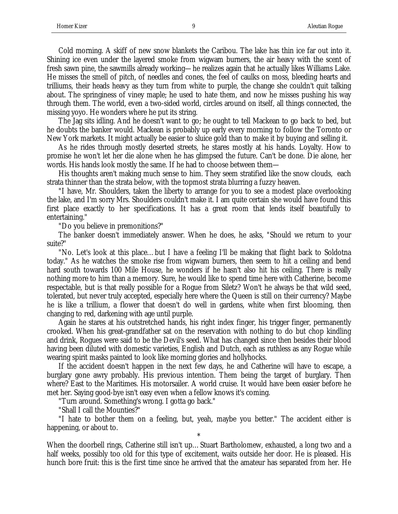Cold morning. A skiff of new snow blankets the Caribou. The lake has thin ice far out into it. Shining ice even under the layered smoke from wigwam burners, the air heavy with the scent of fresh sawn pine, the sawmills already working—he realizes again that he actually likes Williams Lake. He misses the smell of pitch, of needles and cones, the feel of caulks on moss, bleeding hearts and trilliums, their heads heavy as they turn from white to purple, the change she couldn't quit talking about. The springiness of viney maple; he used to hate them, and now he misses pushing his way through them. The world, even a two-sided world, circles around on itself, all things connected, the missing yoyo. He wonders where he put its string.

The Jag sits idling. And he doesn't want to go; he ought to tell Mackean to go back to bed, but he doubts the banker would. Mackean is probably up early every morning to follow the Toronto or New York markets. It might actually be easier to sluice gold than to make it by buying and selling it.

As he rides through mostly deserted streets, he stares mostly at his hands. Loyalty. How to promise he won't let her die alone when he has glimpsed the future. Can't be done. Die alone, her words. His hands look mostly the same. If he had to choose between them—

His thoughts aren't making much sense to him. They seem stratified like the snow clouds, each strata thinner than the strata below, with the topmost strata blurring a fuzzy heaven.

"I have, Mr. Shoulders, taken the liberty to arrange for you to see a modest place overlooking the lake, and I'm sorry Mrs. Shoulders couldn't make it. I am quite certain she would have found this first place exactly to her specifications. It has a great room that lends itself beautifully to entertaining."

"Do you believe in premonitions?"

The banker doesn't immediately answer. When he does, he asks, "Should we return to your suite?"

"No. Let's look at this place…but I have a feeling I'll be making that flight back to Soldotna today." As he watches the smoke rise from wigwam burners, then seem to hit a ceiling and bend hard south towards 100 Mile House, he wonders if he hasn't also hit his ceiling. There is really nothing more to him than a memory. Sure, he would like to spend time here with Catherine, become respectable, but is that really possible for a Rogue from Siletz? Won't he always be that wild seed, tolerated, but never truly accepted, especially here where the Queen is still on their currency? Maybe he is like a trillium, a flower that doesn't do well in gardens, white when first blooming, then changing to red, darkening with age until purple.

Again he stares at his outstretched hands, his right index finger, his trigger finger, permanently crooked. When his great-grandfather sat on the reservation with nothing to do but chop kindling and drink, Rogues were said to be the Devil's seed. What has changed since then besides their blood having been diluted with domestic varieties, English and Dutch, each as ruthless as any Rogue while wearing spirit masks painted to look like morning glories and hollyhocks.

If the accident doesn't happen in the next few days, he and Catherine will have to escape, a burglary gone awry probably. His previous intention. Them being the target of burglary. Then where? East to the Maritimes. His motorsailer. A world cruise. It would have been easier before he met her. Saying good-bye isn't easy even when a fellow knows it's coming.

"Turn around. Something's wrong. I gotta go back."

"Shall I call the Mounties?"

"I hate to bother them on a feeling, but, yeah, maybe you better." The accident either is happening, or about to. \*

When the doorbell rings, Catherine still isn't up…Stuart Bartholomew, exhausted, a long two and a half weeks, possibly too old for this type of excitement, waits outside her door. He is pleased. His hunch bore fruit: this is the first time since he arrived that the amateur has separated from her. He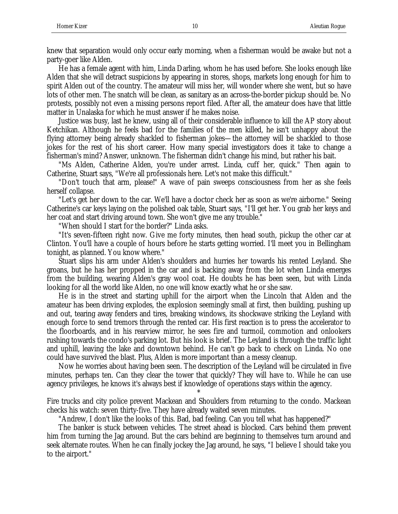knew that separation would only occur early morning, when a fisherman would be awake but not a party-goer like Alden.

He has a female agent with him, Linda Darling, whom he has used before. She looks enough like Alden that she will detract suspicions by appearing in stores, shops, markets long enough for him to spirit Alden out of the country. The amateur will miss her, will wonder where she went, but so have lots of other men. The snatch will be clean, as sanitary as an across-the-border pickup should be. No protests, possibly not even a missing persons report filed. After all, the amateur does have that little matter in Unalaska for which he must answer if he makes noise.

Justice was busy, last he knew, using all of their considerable influence to kill the AP story about Ketchikan. Although he feels bad for the families of the men killed, he isn't unhappy about the flying attorney being already shackled to fisherman jokes—the attorney will be shackled to those jokes for the rest of his short career. How many special investigators does it take to change a fisherman's mind? Answer, unknown. The fisherman didn't change his mind, but rather his bait.

"Ms Alden, Catherine Alden, you're under arrest. Linda, cuff her, quick." Then again to Catherine, Stuart says, "We're all professionals here. Let's not make this difficult."

"Don't touch that arm, please!" A wave of pain sweeps consciousness from her as she feels herself collapse.

"Let's get her down to the car. We'll have a doctor check her as soon as we're airborne." Seeing Catherine's car keys laying on the polished oak table, Stuart says, "I'll get her. You grab her keys and her coat and start driving around town. She won't give me any trouble."

"When should I start for the border?" Linda asks.

"It's seven-fifteen right now. Give me forty minutes, then head south, pickup the other car at Clinton. You'll have a couple of hours before he starts getting worried. I'll meet you in Bellingham tonight, as planned. You know where."

Stuart slips his arm under Alden's shoulders and hurries her towards his rented Leyland. She groans, but he has her propped in the car and is backing away from the lot when Linda emerges from the building, wearing Alden's gray wool coat. He doubts he has been seen, but with Linda looking for all the world like Alden, no one will know exactly what he or she saw.

He is in the street and starting uphill for the airport when the Lincoln that Alden and the amateur has been driving explodes, the explosion seemingly small at first, then building, pushing up and out, tearing away fenders and tires, breaking windows, its shockwave striking the Leyland with enough force to send tremors through the rented car. His first reaction is to press the accelerator to the floorboards, and in his rearview mirror, he sees fire and turmoil, commotion and onlookers rushing towards the condo's parking lot. But his look is brief. The Leyland is through the traffic light and uphill, leaving the lake and downtown behind. He can't go back to check on Linda. No one could have survived the blast. Plus, Alden is more important than a messy cleanup.

Now he worries about having been seen. The description of the Leyland will be circulated in five minutes, perhaps ten. Can they clear the tower that quickly? They will have to. While he can use agency privileges, he knows it's always best if knowledge of operations stays within the agency.

\* Fire trucks and city police prevent Mackean and Shoulders from returning to the condo. Mackean checks his watch: seven thirty-five. They have already waited seven minutes.

"Andrew, I don't like the looks of this. Bad, bad feeling. Can you tell what has happened?"

The banker is stuck between vehicles. The street ahead is blocked. Cars behind them prevent him from turning the Jag around. But the cars behind are beginning to themselves turn around and seek alternate routes. When he can finally jockey the Jag around, he says, "I believe I should take you to the airport."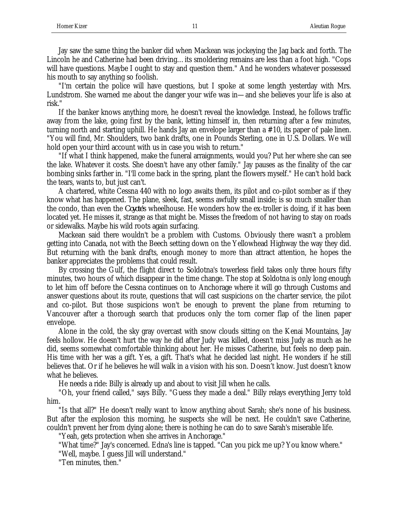Jay saw the same thing the banker did when Mackean was jockeying the Jag back and forth. The Lincoln he and Catherine had been driving…its smoldering remains are less than a foot high. "Cops will have questions. Maybe I ought to stay and question them." And he wonders whatever possessed his mouth to say anything so foolish.

"I'm certain the police will have questions, but I spoke at some length yesterday with Mrs. Lundstrom. She warned me about the danger your wife was in—and she believes your life is also at risk."

If the banker knows anything more, he doesn't reveal the knowledge. Instead, he follows traffic away from the lake, going first by the bank, letting himself in, then returning after a few minutes, turning north and starting uphill. He hands Jay an envelope larger than a #10, its paper of pale linen. "You will find, Mr. Shoulders, two bank drafts, one in Pounds Sterling, one in U.S. Dollars. We will hold open your third account with us in case you wish to return."

"If what I think happened, make the funeral arraignments, would you? Put her where she can see the lake. Whatever it costs. She doesn't have any other family." Jay pauses as the finality of the car bombing sinks farther in. "I'll come back in the spring, plant the flowers myself." He can't hold back the tears, wants to, but just can't.

A chartered, white Cessna 440 with no logo awaits them, its pilot and co-pilot somber as if they know what has happened. The plane, sleek, fast, seems awfully small inside; is so much smaller than the condo, than even the *Coyote*'s wheelhouse. He wonders how the ex-troller is doing, if it has been located yet. He misses it, strange as that might be. Misses the freedom of not having to stay on roads or sidewalks. Maybe his wild roots again surfacing.

Mackean said there wouldn't be a problem with Customs. Obviously there wasn't a problem getting into Canada, not with the Beech setting down on the Yellowhead Highway the way they did. But returning with the bank drafts, enough money to more than attract attention, he hopes the banker appreciates the problems that could result.

By crossing the Gulf, the flight direct to Soldotna's towerless field takes only three hours fifty minutes, two hours of which disappear in the time change. The stop at Soldotna is only long enough to let him off before the Cessna continues on to Anchorage where it will go through Customs and answer questions about its route, questions that will cast suspicions on the charter service, the pilot and co-pilot. But those suspicions won't be enough to prevent the plane from returning to Vancouver after a thorough search that produces only the torn corner flap of the linen paper envelope.

Alone in the cold, the sky gray overcast with snow clouds sitting on the Kenai Mountains, Jay feels hollow. He doesn't hurt the way he did after Judy was killed, doesn't miss Judy as much as he did, seems somewhat comfortable thinking about her. He misses Catherine, but feels no deep pain. His time with her was a gift. Yes, a gift. That's what he decided last night. He wonders if he still believes that. Or if he believes he will walk in a vision with his son. Doesn't know. Just doesn't know what he believes.

He needs a ride: Billy is already up and about to visit Jill when he calls.

"Oh, your friend called," says Billy. "Guess they made a deal." Billy relays everything Jerry told him.

"Is that all?" He doesn't really want to know anything about Sarah; she's none of his business. But after the explosion this morning, he suspects she will be next. He couldn't save Catherine, couldn't prevent her from dying alone; there is nothing he can do to save Sarah's miserable life.

"Yeah, gets protection when she arrives in Anchorage."

"What time?" Jay's concerned. Edna's line is tapped. "Can you pick me up? You know where."

"Well, maybe. I guess Jill will understand."

"Ten minutes, then."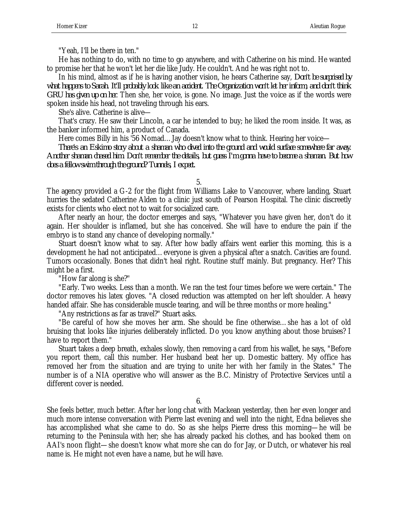"Yeah, I'll be there in ten."

He has nothing to do, with no time to go anywhere, and with Catherine on his mind. He wanted to promise her that he won't let her die like Judy. He couldn't. And he was right not to.

In his mind, almost as if he is having another vision, he hears Catherine say, *Don't be surprised by what happens to Sarah. It'll probably look like an accident. The Organization won't let her inform, and don't think GRU has given up on her*. Then she, her voice, is gone. No image. Just the voice as if the words were spoken inside his head, not traveling through his ears.

She's alive. Catherine is alive—

That's crazy. He saw their Lincoln, a car he intended to buy; he liked the room inside. It was, as the banker informed him, a product of Canada.

Here comes Billy in his '56 Nomad…Jay doesn't know what to think. Hearing her voice—

*There's an Eskimo story about a shaman who dived into the ground and would surface somewhere far away. Another shaman chased him. Don't remember the details, but guess I'm gonna have to become a shaman. But how does a fellow swim through the ground? Tunnels, I expect.*

5.

The agency provided a G-2 for the flight from Williams Lake to Vancouver, where landing, Stuart hurries the sedated Catherine Alden to a clinic just south of Pearson Hospital. The clinic discreetly exists for clients who elect not to wait for socialized care.

After nearly an hour, the doctor emerges and says, "Whatever you have given her, don't do it again. Her shoulder is inflamed, but she has conceived. She will have to endure the pain if the embryo is to stand any chance of developing normally."

Stuart doesn't know what to say. After how badly affairs went earlier this morning, this is a development he had not anticipated…everyone is given a physical after a snatch. Cavities are found. Tumors occasionally. Bones that didn't heal right. Routine stuff mainly. But pregnancy. Her? This might be a first.

"How far along is she?"

"Early. Two weeks. Less than a month. We ran the test four times before we were certain." The doctor removes his latex gloves. "A closed reduction was attempted on her left shoulder. A heavy handed affair. She has considerable muscle tearing, and will be three months or more healing."

"Any restrictions as far as travel?" Stuart asks.

"Be careful of how she moves her arm. She should be fine otherwise…she has a lot of old bruising that looks like injuries deliberately inflicted. Do you know anything about those bruises? I have to report them."

Stuart takes a deep breath, exhales slowly, then removing a card from his wallet, he says, "Before you report them, call this number. Her husband beat her up. Domestic battery. My office has removed her from the situation and are trying to unite her with her family in the States." The number is of a NIA operative who will answer as the B.C. Ministry of Protective Services until a different cover is needed.

6.

She feels better, much better. After her long chat with Mackean yesterday, then her even longer and much more intense conversation with Pierre last evening and well into the night, Edna believes she has accomplished what she came to do. So as she helps Pierre dress this morning—he will be returning to the Peninsula with her; she has already packed his clothes, and has booked them on AAI's noon flight—she doesn't know what more she can do for Jay, or Dutch, or whatever his real name is. He might not even have a name, but he will have.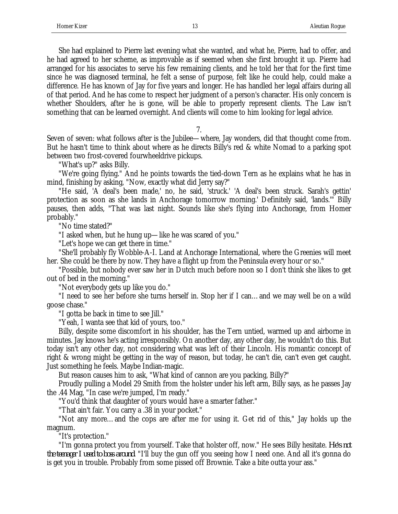She had explained to Pierre last evening what she wanted, and what he, Pierre, had to offer, and he had agreed to her scheme, as improvable as if seemed when she first brought it up. Pierre had arranged for his associates to serve his few remaining clients, and he told her that for the first time since he was diagnosed terminal, he felt a sense of purpose, felt like he could help, could make a difference. He has known of Jay for five years and longer. He has handled her legal affairs during all of that period. And he has come to respect her judgment of a person's character. His only concern is whether Shoulders, after he is gone, will be able to properly represent clients. The Law isn't something that can be learned overnight. And clients will come to him looking for legal advice.

7.

Seven of seven: what follows after is the Jubilee—where, Jay wonders, did that thought come from. But he hasn't time to think about where as he directs Billy's red & white Nomad to a parking spot between two frost-covered fourwheeldrive pickups.

"What's up?" asks Billy.

"We're going flying." And he points towards the tied-down Tern as he explains what he has in mind, finishing by asking, "Now, exactly what did Jerry say?"

"He said, 'A deal's been made,' no, he said, 'struck.' 'A deal's been struck. Sarah's gettin' protection as soon as she lands in Anchorage tomorrow morning.' Definitely said, 'lands.'" Billy pauses, then adds, "That was last night. Sounds like she's flying into Anchorage, from Homer probably."

"No time stated?"

"I asked when, but he hung up—like he was scared of you."

"Let's hope we can get there in time."

"She'll probably fly Wobble-A-I. Land at Anchorage International, where the Greenies will meet her. She could be there by now. They have a flight up from the Peninsula every hour or so."

"Possible, but nobody ever saw her in Dutch much before noon so I don't think she likes to get out of bed in the morning."

"Not everybody gets up like you do."

"I need to see her before she turns herself in. Stop her if I can…and we may well be on a wild goose chase."

"I gotta be back in time to see Jill."

"Yeah, I wanta see that kid of yours, too."

Billy, despite some discomfort in his shoulder, has the Tern untied, warmed up and airborne in minutes. Jay knows he's acting irresponsibly. On another day, any other day, he wouldn't do this. But today isn't any other day, not considering what was left of their Lincoln. His romantic concept of right & wrong might be getting in the way of reason, but today, he can't die, can't even get caught. Just something he feels. Maybe Indian-magic.

But reason causes him to ask, "What kind of cannon are you packing, Billy?"

Proudly pulling a Model 29 Smith from the holster under his left arm, Billy says, as he passes Jay the .44 Mag, "In case we're jumped, I'm ready."

"You'd think that daughter of yours would have a smarter father."

"That ain't fair. You carry a .38 in your pocket."

"Not any more…and the cops are after me for using it. Get rid of this," Jay holds up the magnum.

"It's protection."

"I'm gonna protect you from yourself. Take that holster off, now." He sees Billy hesitate. *He's not the teenager I used to boss around*. "I'll buy the gun off you seeing how I need one. And all it's gonna do is get you in trouble. Probably from some pissed off Brownie. Take a bite outta your ass."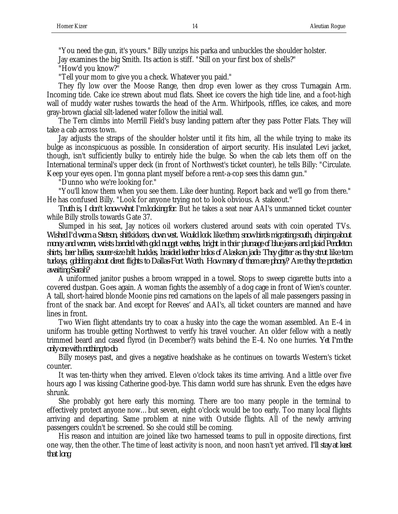"You need the gun, it's yours." Billy unzips his parka and unbuckles the shoulder holster.

Jay examines the big Smith. Its action is stiff. "Still on your first box of shells?"

"How'd you know?"

"Tell your mom to give you a check. Whatever you paid."

They fly low over the Moose Range, then drop even lower as they cross Turnagain Arm. Incoming tide. Cake ice strewn about mud flats. Sheet ice covers the high tide line, and a foot-high wall of muddy water rushes towards the head of the Arm. Whirlpools, riffles, ice cakes, and more gray-brown glacial silt-ladened water follow the initial wall.

The Tern climbs into Merrill Field's busy landing pattern after they pass Potter Flats. They will take a cab across town.

Jay adjusts the straps of the shoulder holster until it fits him, all the while trying to make its bulge as inconspicuous as possible. In consideration of airport security. His insulated Levi jacket, though, isn't sufficiently bulky to entirely hide the bulge. So when the cab lets them off on the International terminal's upper deck (in front of Northwest's ticket counter), he tells Billy: "Circulate. Keep your eyes open. I'm gonna plant myself before a rent-a-cop sees this damn gun."

"Dunno who we're looking for."

"You'll know them when you see them. Like deer hunting. Report back and we'll go from there." He has confused Billy. "Look for anyone trying not to look obvious. A stakeout."

*Truth is, I don't know what I'm looking for*. But he takes a seat near AAI's unmanned ticket counter while Billy strolls towards Gate 37.

Slumped in his seat, Jay notices oil workers clustered around seats with coin operated TVs. *Wished I'd worn a Stetson, shitkickers, down vest. Would look like them, snow birds migrating south, chirping about money and women, wrists banded with gold nugget watches, bright in their plumage of blue jeans and plaid Pendleton shirts, beer bellies, saucer-size belt buckles, braided leather bolos of Alaskan jade. They glitter as they strut like tom turkeys, gobbling about direct flights to Dallas-Fort Worth. How many of them are phony? Are they the protection awaiting Sarah?*

A uniformed janitor pushes a broom wrapped in a towel. Stops to sweep cigarette butts into a covered dustpan. Goes again. A woman fights the assembly of a dog cage in front of Wien's counter. A tall, short-haired blonde Moonie pins red carnations on the lapels of all male passengers passing in front of the snack bar. And except for Reeves' and AAI's, all ticket counters are manned and have lines in front.

Two Wien flight attendants try to coax a husky into the cage the woman assembled. An E-4 in uniform has trouble getting Northwest to verify his travel voucher. An older fellow with a neatly trimmed beard and cased flyrod (in December?) waits behind the E-4. No one hurries. *Yet I'm the only one with nothing to do*.

Billy moseys past, and gives a negative headshake as he continues on towards Western's ticket counter.

It was ten-thirty when they arrived. Eleven o'clock takes its time arriving. And a little over five hours ago I was kissing Catherine good-bye. This damn world sure has shrunk. Even the edges have shrunk.

She probably got here early this morning. There are too many people in the terminal to effectively protect anyone now…but seven, eight o'clock would be too early. Too many local flights arriving and departing. Same problem at nine with Outside flights. All of the newly arriving passengers couldn't be screened. So she could still be coming.

His reason and intuition are joined like two harnessed teams to pull in opposite directions, first one way, then the other. The time of least activity is noon, and noon hasn't yet arrived. *I'll stay at least that long*.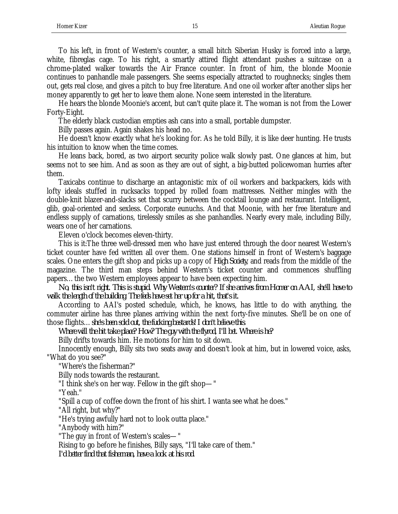To his left, in front of Western's counter, a small bitch Siberian Husky is forced into a large, white, fibreglas cage. To his right, a smartly attired flight attendant pushes a suitcase on a chrome-plated walker towards the Air France counter. In front of him, the blonde Moonie continues to panhandle male passengers. She seems especially attracted to roughnecks; singles them out, gets real close, and gives a pitch to buy free literature. And one oil worker after another slips her money apparently to get her to leave them alone. None seem interested in the literature.

He hears the blonde Moonie's accent, but can't quite place it. The woman is not from the Lower Forty-Eight.

The elderly black custodian empties ash cans into a small, portable dumpster.

Billy passes again. Again shakes his head no.

He doesn't know exactly what he's looking for. As he told Billy, it is like deer hunting. He trusts his intuition to know when the time comes.

He leans back, bored, as two airport security police walk slowly past. One glances at him, but seems not to see him. And as soon as they are out of sight, a big-butted policewoman hurries after them.

Taxicabs continue to discharge an antagonistic mix of oil workers and backpackers, kids with lofty ideals stuffed in rucksacks topped by rolled foam mattresses. Neither mingles with the double-knit blazer-and-slacks set that scurry between the cocktail lounge and restaurant. Intelligent, glib, goal-oriented and sexless. Corporate eunuchs. And that Moonie, with her free literature and endless supply of carnations, tirelessly smiles as she panhandles. Nearly every male, including Billy, wears one of her carnations.

Eleven o'clock becomes eleven-thirty.

This is it:The three well-dressed men who have just entered through the door nearest Western's ticket counter have fed written all over them. One stations himself in front of Western's baggage scales. One enters the gift shop and picks up a copy of *High Society*, and reads from the middle of the magazine. The third man steps behind Western's ticket counter and commences shuffling papers…the two Western employees appear to have been expecting him.

*No, this isn't right. This is stupid. Why Western's counter? If she arrives from Homer on AAI, she'll have to walk the length of the building. The feds have set her up for a hit, that's it.*

According to AAI's posted schedule, which, he knows, has little to do with anything, the commuter airline has three planes arriving within the next forty-five minutes. She'll be on one of those flights…*she's been sold out, the fucking bastards! I don't believe this*.

*Where will the hit take place? How? The guy with the flyrod, I'll bet. Where is he?*

Billy drifts towards him. He motions for him to sit down.

Innocently enough, Billy sits two seats away and doesn't look at him, but in lowered voice, asks, "What do you see?"

"Where's the fisherman?"

Billy nods towards the restaurant.

"I think she's on her way. Fellow in the gift shop—"

"Yeah."

"Spill a cup of coffee down the front of his shirt. I wanta see what he does."

"All right, but why?"

"He's trying awfully hard not to look outta place."

"Anybody with him?"

"The guy in front of Western's scales—"

Rising to go before he finishes, Billy says, "I'll take care of them."

*I'd better find that fisherman, have a look at his rod*.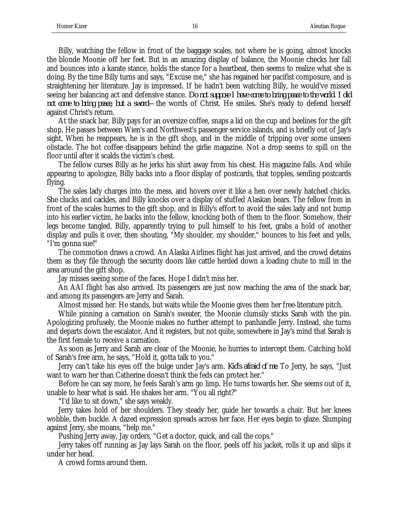Billy, watching the fellow in front of the baggage scales, not where he is going, almost knocks the blonde Moonie off her feet. But in an amazing display of balance, the Moonie checks her fall and bounces into a karate stance, holds the stance for a heartbeat, then seems to realize what she is doing. By the time Billy turns and says, "Excuse me," she has regained her pacifist composure, and is straightening her literature. Jay is impressed. If he hadn't been watching Billy, he would've missed seeing her balancing act and defensive stance. *Do not suppose I have come to bring peace to the world. I did not come to bring peace, but a sword*—the words of Christ. He smiles. She's ready to defend herself against Christ's return.

At the snack bar, Billy pays for an oversize coffee, snaps a lid on the cup and beelines for the gift shop. He passes between Wien's and Northwest's passenger service islands, and is briefly out of Jay's sight. When he reappears, he is in the gift shop, and in the middle of tripping over some unseen obstacle. The hot coffee disappears behind the girlie magazine. Not a drop seems to spill on the floor until after it scalds the victim's chest.

The fellow curses Billy as he jerks his shirt away from his chest. His magazine falls. And while appearing to apologize, Billy backs into a floor display of postcards, that topples, sending postcards flying.

The sales lady charges into the mess, and hovers over it like a hen over newly hatched chicks. She clucks and cackles, and Billy knocks over a display of stuffed Alaskan bears. The fellow from in front of the scales hurries to the gift shop, and in Billy's effort to avoid the sales lady and not bump into his earlier victim, he backs into the fellow, knocking both of them to the floor. Somehow, their legs become tangled. Billy, apparently trying to pull himself to his feet, grabs a hold of another display and pulls it over, then shouting, "My shoulder, my shoulder," bounces to his feet and yells, "I'm gonna sue!"

The commotion draws a crowd. An Alaska Airlines flight has just arrived, and the crowd detains them as they file through the security doors like cattle herded down a loading chute to mill in the area around the gift shop.

Jay misses seeing some of the faces. Hope I didn't miss her.

An AAI flight has also arrived. Its passengers are just now reaching the area of the snack bar, and among its passengers are Jerry and Sarah.

Almost missed her. He stands, but waits while the Moonie gives them her free-literature pitch.

While pinning a carnation on Sarah's sweater, the Moonie clumsily sticks Sarah with the pin. Apologizing profusely, the Moonie makes no further attempt to panhandle Jerry. Instead, she turns and departs down the escalator. And it registers, but not quite, somewhere in Jay's mind that Sarah is the first female to receive a carnation.

As soon as Jerry and Sarah are clear of the Moonie, he hurries to intercept them. Catching hold of Sarah's free arm, he says, "Hold it, gotta talk to you."

Jerry can't take his eyes off the bulge under Jay's arm. *Kid's afraid of me*. To Jerry, he says, "Just want to warn her than Catherine doesn't think the feds can protect her."

Before he can say more, he feels Sarah's arm go limp. He turns towards her. She seems out of it, unable to hear what is said. He shakes her arm. "You all right?"

"I'd like to sit down," she says weakly.

Jerry takes hold of her shoulders. They steady her, guide her towards a chair. But her knees wobble, then buckle. A dazed expression spreads across her face. Her eyes begin to glaze. Slumping against Jerry, she moans, "help me."

Pushing Jerry away, Jay orders, "Get a doctor, quick, and call the cops."

Jerry takes off running as Jay lays Sarah on the floor, peels off his jacket, rolls it up and slips it under her head.

A crowd forms around them.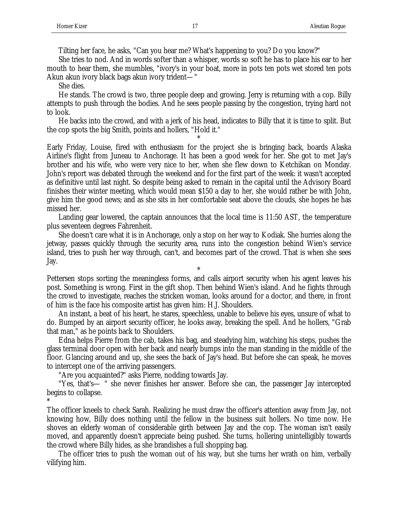Tilting her face, he asks, "Can you hear me? What's happening to you? Do you know?"

She tries to nod. And in words softer than a whisper, words so soft he has to place his ear to her mouth to hear them, she mumbles, "ivory's in your boat, more in pots ten pots wet stored ten pots Akun akun ivory black bags akun ivory trident—"

She dies.

He stands. The crowd is two, three people deep and growing. Jerry is returning with a cop. Billy attempts to push through the bodies. And he sees people passing by the congestion, trying hard not to look.

He backs into the crowd, and with a jerk of his head, indicates to Billy that it is time to split. But the cop spots the big Smith, points and hollers, "Hold it."

\*

Early Friday, Louise, fired with enthusiasm for the project she is bringing back, boards Alaska Airline's flight from Juneau to Anchorage. It has been a good week for her. She got to met Jay's brother and his wife, who were very nice to her, when she flew down to Ketchikan on Monday. John's report was debated through the weekend and for the first part of the week: it wasn't accepted as definitive until last night. So despite being asked to remain in the capital until the Advisory Board finishes their winter meeting, which would mean \$150 a day to her, she would rather be with John, give him the good news; and as she sits in her comfortable seat above the clouds, she hopes he has missed her.

Landing gear lowered, the captain announces that the local time is 11:50 AST, the temperature plus seventeen degrees Fahrenheit.

She doesn't care what it is in Anchorage, only a stop on her way to Kodiak. She hurries along the jetway, passes quickly through the security area, runs into the congestion behind Wien's service island, tries to push her way through, can't, and becomes part of the crowd. That is when she sees Jay.

Pettersen stops sorting the meaningless forms, and calls airport security when his agent leaves his post. Something is wrong. First in the gift shop. Then behind Wien's island. And he fights through the crowd to investigate, reaches the stricken woman, looks around for a doctor, and there, in front of him is the face his composite artist has given him: H.J. Shoulders.

\*

An instant, a beat of his heart, he stares, speechless, unable to believe his eyes, unsure of what to do. Bumped by an airport security officer, he looks away, breaking the spell. And he hollers, "Grab that man," as he points back to Shoulders.

Edna helps Pierre from the cab, takes his bag, and steadying him, watching his steps, pushes the glass terminal door open with her back and nearly bumps into the man standing in the middle of the floor. Glancing around and up, she sees the back of Jay's head. But before she can speak, he moves to intercept one of the arriving passengers.

"Are you acquainted?" asks Pierre, nodding towards Jay.

"Yes, that's— " she never finishes her answer. Before she can, the passenger Jay intercepted begins to collapse.

\*

The officer kneels to check Sarah. Realizing he must draw the officer's attention away from Jay, not knowing how, Billy does nothing until the fellow in the business suit hollers. No time now. He shoves an elderly woman of considerable girth between Jay and the cop. The woman isn't easily moved, and apparently doesn't appreciate being pushed. She turns, hollering unintelligibly towards the crowd where Billy hides, as she brandishes a full shopping bag.

The officer tries to push the woman out of his way, but she turns her wrath on him, verbally vilifying him.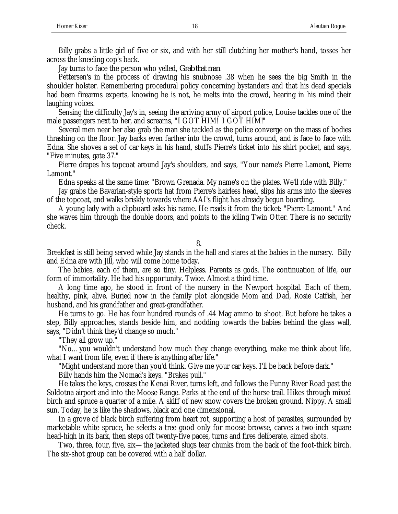Billy grabs a little girl of five or six, and with her still clutching her mother's hand, tosses her across the kneeling cop's back.

Jay turns to face the person who yelled, *Grab that man*.

Pettersen's in the process of drawing his snubnose .38 when he sees the big Smith in the shoulder holster. Remembering procedural policy concerning bystanders and that his dead specials had been firearms experts, knowing he is not, he melts into the crowd, hearing in his mind their laughing voices.

Sensing the difficulty Jay's in, seeing the arriving army of airport police, Louise tackles one of the male passengers next to her, and screams, "I GOT HIM! I GOT HIM!"

Several men near her also grab the man she tackled as the police converge on the mass of bodies thrashing on the floor. Jay backs even farther into the crowd, turns around, and is face to face with Edna. She shoves a set of car keys in his hand, stuffs Pierre's ticket into his shirt pocket, and says, "Five minutes, gate 37."

Pierre drapes his topcoat around Jay's shoulders, and says, "Your name's Pierre Lamont, Pierre Lamont."

Edna speaks at the same time: "Brown Grenada. My name's on the plates. We'll ride with Billy."

Jay grabs the Bavarian-style sports hat from Pierre's hairless head, slips his arms into the sleeves of the topcoat, and walks briskly towards where AAI's flight has already begun boarding.

A young lady with a clipboard asks his name. He reads it from the ticket: "Pierre Lamont." And she waves him through the double doors, and points to the idling Twin Otter. There is no security check.

8.

Breakfast is still being served while Jay stands in the hall and stares at the babies in the nursery. Billy and Edna are with Jill, who will come home today.

The babies, each of them, are so tiny. Helpless. Parents as gods. The continuation of life, our form of immortality. He had his opportunity. Twice. Almost a third time.

A long time ago, he stood in front of the nursery in the Newport hospital. Each of them, healthy, pink, alive. Buried now in the family plot alongside Mom and Dad, Rosie Catfish, her husband, and his grandfather and great-grandfather.

He turns to go. He has four hundred rounds of .44 Mag ammo to shoot. But before he takes a step, Billy approaches, stands beside him, and nodding towards the babies behind the glass wall, says, "Didn't think they'd change so much."

"They all grow up."

"No…you wouldn't understand how much they change everything, make me think about life, what I want from life, even if there is anything after life."

"Might understand more than you'd think. Give me your car keys. I'll be back before dark."

Billy hands him the Nomad's keys. "Brakes pull."

He takes the keys, crosses the Kenai River, turns left, and follows the Funny River Road past the Soldotna airport and into the Moose Range. Parks at the end of the horse trail. Hikes through mixed birch and spruce a quarter of a mile. A skiff of new snow covers the broken ground. Nippy. A small sun. Today, he is like the shadows, black and one dimensional.

In a grove of black birch suffering from heart rot, supporting a host of parasites, surrounded by marketable white spruce, he selects a tree good only for moose browse, carves a two-inch square head-high in its bark, then steps off twenty-five paces, turns and fires deliberate, aimed shots.

Two, three, four, five, six—the jacketed slugs tear chunks from the back of the foot-thick birch. The six-shot group can be covered with a half dollar.